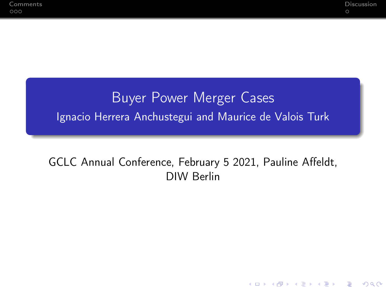**KORKA SERKER ORA** 

### Buyer Power Merger Cases Ignacio Herrera Anchustegui and Maurice de Valois Turk

#### GCLC Annual Conference, February 5 2021, Pauline Affeldt, DIW Berlin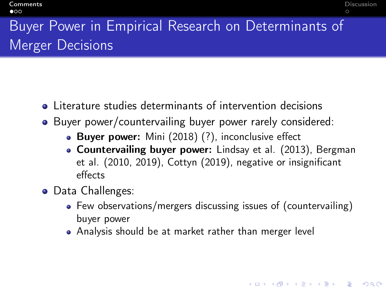**KORKA BRADE KORA** 

# <span id="page-1-0"></span>Buyer Power in Empirical Research on Determinants of Merger Decisions

- Literature studies determinants of intervention decisions
- Buyer power/countervailing buyer power rarely considered:
	- Buyer power: Mini (2018) (?), inconclusive effect
	- **Countervailing buyer power:** Lindsay et al. (2013), Bergman et al. (2010, 2019), Cottyn (2019), negative or insignificant effects
- Data Challenges:
	- Few observations/mergers discussing issues of (countervailing) buyer power
	- Analysis should be at market rather than merger level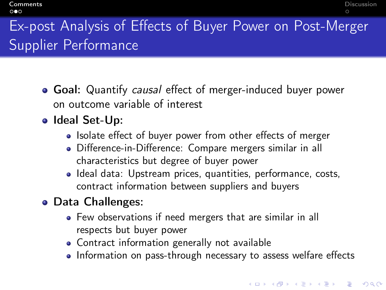## Ex-post Analysis of Effects of Buyer Power on Post-Merger Supplier Performance

- **Goal:** Quantify causal effect of merger-induced buyer power on outcome variable of interest
- Ideal Set-Up:
	- Isolate effect of buyer power from other effects of merger
	- Difference-in-Difference: Compare mergers similar in all characteristics but degree of buyer power
	- Ideal data: Upstream prices, quantities, performance, costs, contract information between suppliers and buyers
- Data Challenges:
	- Few observations if need mergers that are similar in all respects but buyer power
	- Contract information generally not available
	- Information on pass-through necessary to assess welfare effects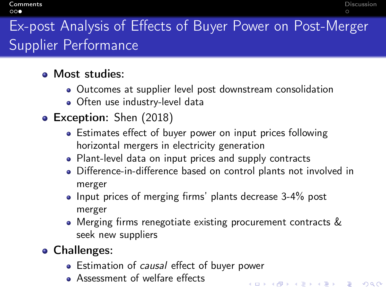**[Comments](#page-1-0)** [Discussion](#page-4-0) **Discussion** 

**K ロ X K 레 X K 회 X X 회 X 및 X X X X X 전** 

# Ex-post Analysis of Effects of Buyer Power on Post-Merger Supplier Performance

- **A** Most studies:
	- Outcomes at supplier level post downstream consolidation
	- Often use industry-level data
- Exception: Shen (2018)
	- Estimates effect of buyer power on input prices following horizontal mergers in electricity generation
	- Plant-level data on input prices and supply contracts
	- Difference-in-difference based on control plants not involved in merger
	- Input prices of merging firms' plants decrease 3-4% post merger
	- Merging firms renegotiate existing procurement contracts & seek new suppliers
- **Challenges:** 
	- Estimation of *causal* effect of buyer power
	- **•** Assessment of welfare effects